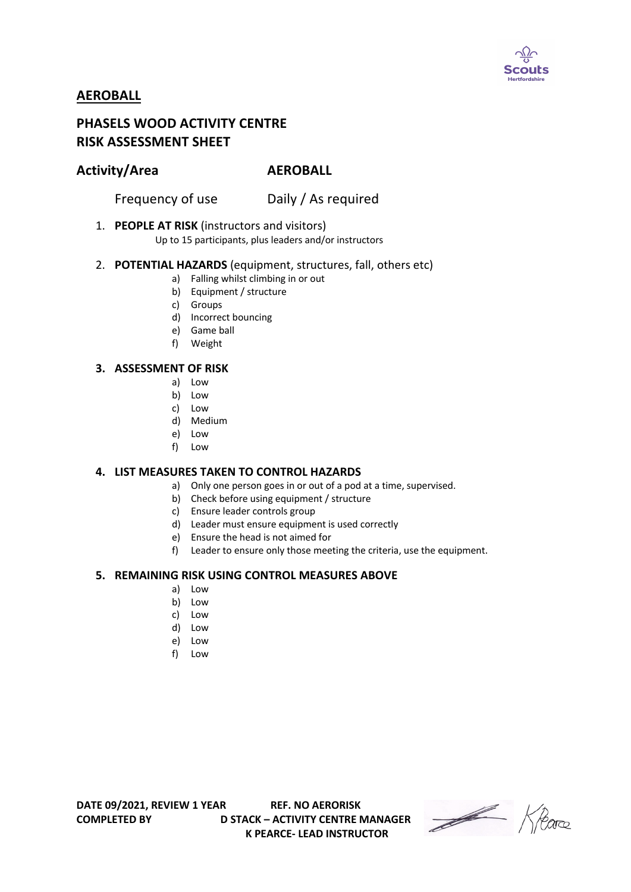

# **AEROBALL**

# **PHASELS WOOD ACTIVITY CENTRE RISK ASSESSMENT SHEET**

# **Activity/Area AEROBALL**

Frequency of use Daily / As required

## 1. **PEOPLE AT RISK** (instructors and visitors)

Up to 15 participants, plus leaders and/or instructors

#### 2. **POTENTIAL HAZARDS** (equipment, structures, fall, others etc)

- a) Falling whilst climbing in or out
- b) Equipment / structure
- c) Groups
- d) Incorrect bouncing
- e) Game ball
- f) Weight

#### **3. ASSESSMENT OF RISK**

- a) Low
- b) Low
- c) Low
- d) Medium
- e) Low
- f) Low

#### **4. LIST MEASURES TAKEN TO CONTROL HAZARDS**

- a) Only one person goes in or out of a pod at a time, supervised.
- b) Check before using equipment / structure
- c) Ensure leader controls group
- d) Leader must ensure equipment is used correctly
- e) Ensure the head is not aimed for
- f) Leader to ensure only those meeting the criteria, use the equipment.

## **5. REMAINING RISK USING CONTROL MEASURES ABOVE**

- a) Low
- b) Low
- c) Low
- d) Low
- e) Low
- f) Low

**DATE 09/2021, REVIEW 1 YEAR REF. NO AERORISK**

**COMPLETED BY D STACK – ACTIVITY CENTRE MANAGER K PEARCE- LEAD INSTRUCTOR** 

Heare